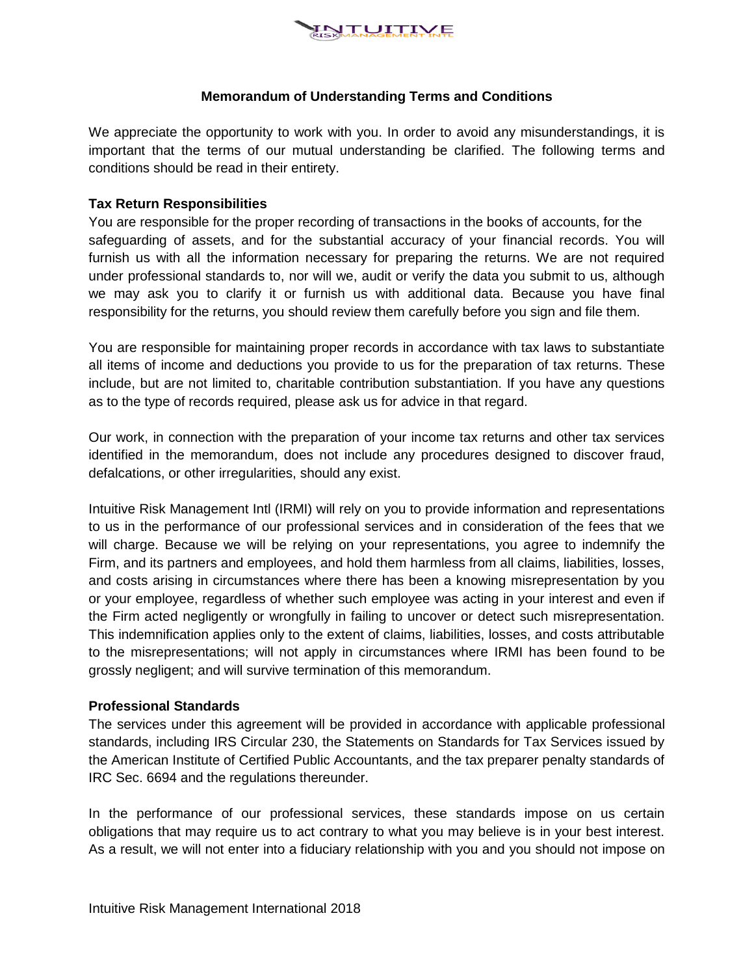

# **Memorandum of Understanding Terms and Conditions**

We appreciate the opportunity to work with you. In order to avoid any misunderstandings, it is important that the terms of our mutual understanding be clarified. The following terms and conditions should be read in their entirety.

### **Tax Return Responsibilities**

You are responsible for the proper recording of transactions in the books of accounts, for the safeguarding of assets, and for the substantial accuracy of your financial records. You will furnish us with all the information necessary for preparing the returns. We are not required under professional standards to, nor will we, audit or verify the data you submit to us, although we may ask you to clarify it or furnish us with additional data. Because you have final responsibility for the returns, you should review them carefully before you sign and file them.

You are responsible for maintaining proper records in accordance with tax laws to substantiate all items of income and deductions you provide to us for the preparation of tax returns. These include, but are not limited to, charitable contribution substantiation. If you have any questions as to the type of records required, please ask us for advice in that regard.

Our work, in connection with the preparation of your income tax returns and other tax services identified in the memorandum, does not include any procedures designed to discover fraud, defalcations, or other irregularities, should any exist.

Intuitive Risk Management Intl (IRMI) will rely on you to provide information and representations to us in the performance of our professional services and in consideration of the fees that we will charge. Because we will be relying on your representations, you agree to indemnify the Firm, and its partners and employees, and hold them harmless from all claims, liabilities, losses, and costs arising in circumstances where there has been a knowing misrepresentation by you or your employee, regardless of whether such employee was acting in your interest and even if the Firm acted negligently or wrongfully in failing to uncover or detect such misrepresentation. This indemnification applies only to the extent of claims, liabilities, losses, and costs attributable to the misrepresentations; will not apply in circumstances where IRMI has been found to be grossly negligent; and will survive termination of this memorandum.

# **Professional Standards**

The services under this agreement will be provided in accordance with applicable professional standards, including IRS Circular 230, the Statements on Standards for Tax Services issued by the American Institute of Certified Public Accountants, and the tax preparer penalty standards of IRC Sec. 6694 and the regulations thereunder.

In the performance of our professional services, these standards impose on us certain obligations that may require us to act contrary to what you may believe is in your best interest. As a result, we will not enter into a fiduciary relationship with you and you should not impose on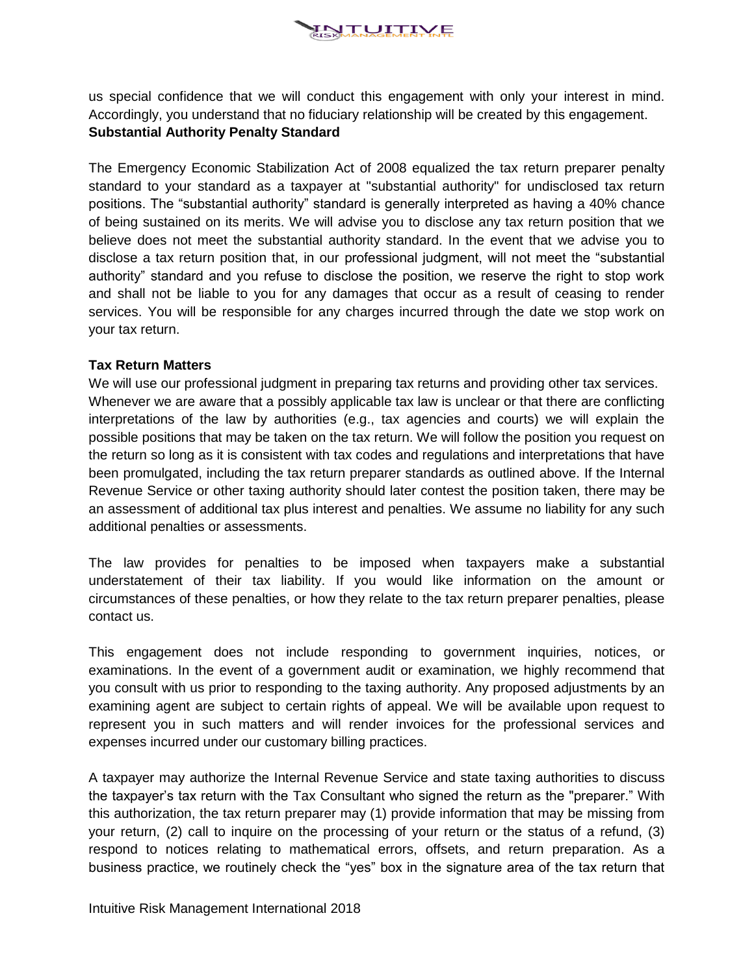

us special confidence that we will conduct this engagement with only your interest in mind. Accordingly, you understand that no fiduciary relationship will be created by this engagement. **Substantial Authority Penalty Standard**

The Emergency Economic Stabilization Act of 2008 equalized the tax return preparer penalty standard to your standard as a taxpayer at "substantial authority" for undisclosed tax return positions. The "substantial authority" standard is generally interpreted as having a 40% chance of being sustained on its merits. We will advise you to disclose any tax return position that we believe does not meet the substantial authority standard. In the event that we advise you to disclose a tax return position that, in our professional judgment, will not meet the "substantial authority" standard and you refuse to disclose the position, we reserve the right to stop work and shall not be liable to you for any damages that occur as a result of ceasing to render services. You will be responsible for any charges incurred through the date we stop work on your tax return.

### **Tax Return Matters**

We will use our professional judgment in preparing tax returns and providing other tax services. Whenever we are aware that a possibly applicable tax law is unclear or that there are conflicting interpretations of the law by authorities (e.g., tax agencies and courts) we will explain the possible positions that may be taken on the tax return. We will follow the position you request on the return so long as it is consistent with tax codes and regulations and interpretations that have been promulgated, including the tax return preparer standards as outlined above. If the Internal Revenue Service or other taxing authority should later contest the position taken, there may be an assessment of additional tax plus interest and penalties. We assume no liability for any such additional penalties or assessments.

The law provides for penalties to be imposed when taxpayers make a substantial understatement of their tax liability. If you would like information on the amount or circumstances of these penalties, or how they relate to the tax return preparer penalties, please contact us.

This engagement does not include responding to government inquiries, notices, or examinations. In the event of a government audit or examination, we highly recommend that you consult with us prior to responding to the taxing authority. Any proposed adjustments by an examining agent are subject to certain rights of appeal. We will be available upon request to represent you in such matters and will render invoices for the professional services and expenses incurred under our customary billing practices.

A taxpayer may authorize the Internal Revenue Service and state taxing authorities to discuss the taxpayer's tax return with the Tax Consultant who signed the return as the "preparer." With this authorization, the tax return preparer may (1) provide information that may be missing from your return, (2) call to inquire on the processing of your return or the status of a refund, (3) respond to notices relating to mathematical errors, offsets, and return preparation. As a business practice, we routinely check the "yes" box in the signature area of the tax return that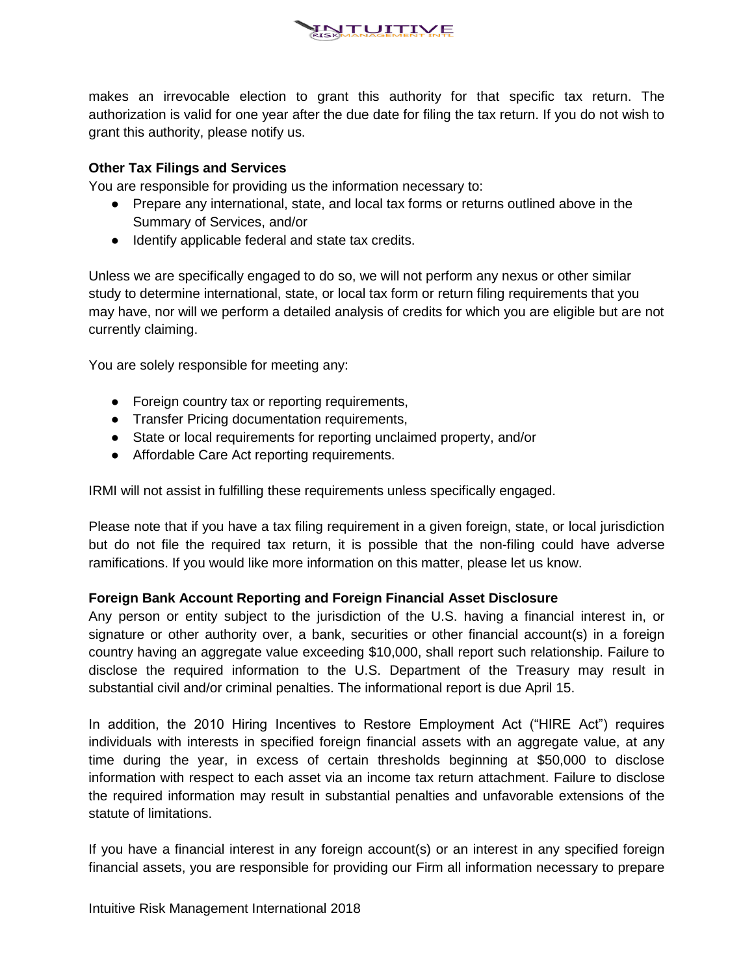

makes an irrevocable election to grant this authority for that specific tax return. The authorization is valid for one year after the due date for filing the tax return. If you do not wish to grant this authority, please notify us.

# **Other Tax Filings and Services**

You are responsible for providing us the information necessary to:

- Prepare any international, state, and local tax forms or returns outlined above in the Summary of Services, and/or
- Identify applicable federal and state tax credits.

Unless we are specifically engaged to do so, we will not perform any nexus or other similar study to determine international, state, or local tax form or return filing requirements that you may have, nor will we perform a detailed analysis of credits for which you are eligible but are not currently claiming.

You are solely responsible for meeting any:

- Foreign country tax or reporting requirements,
- Transfer Pricing documentation requirements,
- State or local requirements for reporting unclaimed property, and/or
- Affordable Care Act reporting requirements.

IRMI will not assist in fulfilling these requirements unless specifically engaged.

Please note that if you have a tax filing requirement in a given foreign, state, or local jurisdiction but do not file the required tax return, it is possible that the non-filing could have adverse ramifications. If you would like more information on this matter, please let us know.

# **Foreign Bank Account Reporting and Foreign Financial Asset Disclosure**

Any person or entity subject to the jurisdiction of the U.S. having a financial interest in, or signature or other authority over, a bank, securities or other financial account(s) in a foreign country having an aggregate value exceeding \$10,000, shall report such relationship. Failure to disclose the required information to the U.S. Department of the Treasury may result in substantial civil and/or criminal penalties. The informational report is due April 15.

In addition, the 2010 Hiring Incentives to Restore Employment Act ("HIRE Act") requires individuals with interests in specified foreign financial assets with an aggregate value, at any time during the year, in excess of certain thresholds beginning at \$50,000 to disclose information with respect to each asset via an income tax return attachment. Failure to disclose the required information may result in substantial penalties and unfavorable extensions of the statute of limitations.

If you have a financial interest in any foreign account(s) or an interest in any specified foreign financial assets, you are responsible for providing our Firm all information necessary to prepare

Intuitive Risk Management International 2018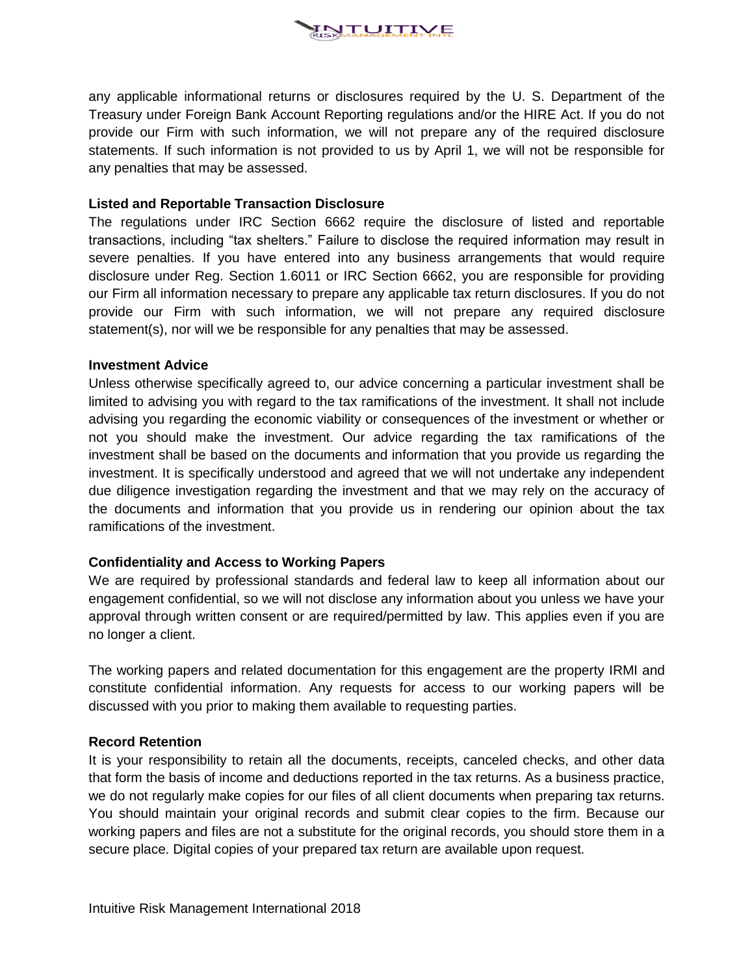

any applicable informational returns or disclosures required by the U. S. Department of the Treasury under Foreign Bank Account Reporting regulations and/or the HIRE Act. If you do not provide our Firm with such information, we will not prepare any of the required disclosure statements. If such information is not provided to us by April 1, we will not be responsible for any penalties that may be assessed.

#### **Listed and Reportable Transaction Disclosure**

The regulations under IRC Section 6662 require the disclosure of listed and reportable transactions, including "tax shelters." Failure to disclose the required information may result in severe penalties. If you have entered into any business arrangements that would require disclosure under Reg. Section 1.6011 or IRC Section 6662, you are responsible for providing our Firm all information necessary to prepare any applicable tax return disclosures. If you do not provide our Firm with such information, we will not prepare any required disclosure statement(s), nor will we be responsible for any penalties that may be assessed.

#### **Investment Advice**

Unless otherwise specifically agreed to, our advice concerning a particular investment shall be limited to advising you with regard to the tax ramifications of the investment. It shall not include advising you regarding the economic viability or consequences of the investment or whether or not you should make the investment. Our advice regarding the tax ramifications of the investment shall be based on the documents and information that you provide us regarding the investment. It is specifically understood and agreed that we will not undertake any independent due diligence investigation regarding the investment and that we may rely on the accuracy of the documents and information that you provide us in rendering our opinion about the tax ramifications of the investment.

# **Confidentiality and Access to Working Papers**

We are required by professional standards and federal law to keep all information about our engagement confidential, so we will not disclose any information about you unless we have your approval through written consent or are required/permitted by law. This applies even if you are no longer a client.

The working papers and related documentation for this engagement are the property IRMI and constitute confidential information. Any requests for access to our working papers will be discussed with you prior to making them available to requesting parties.

#### **Record Retention**

It is your responsibility to retain all the documents, receipts, canceled checks, and other data that form the basis of income and deductions reported in the tax returns. As a business practice, we do not regularly make copies for our files of all client documents when preparing tax returns. You should maintain your original records and submit clear copies to the firm. Because our working papers and files are not a substitute for the original records, you should store them in a secure place. Digital copies of your prepared tax return are available upon request.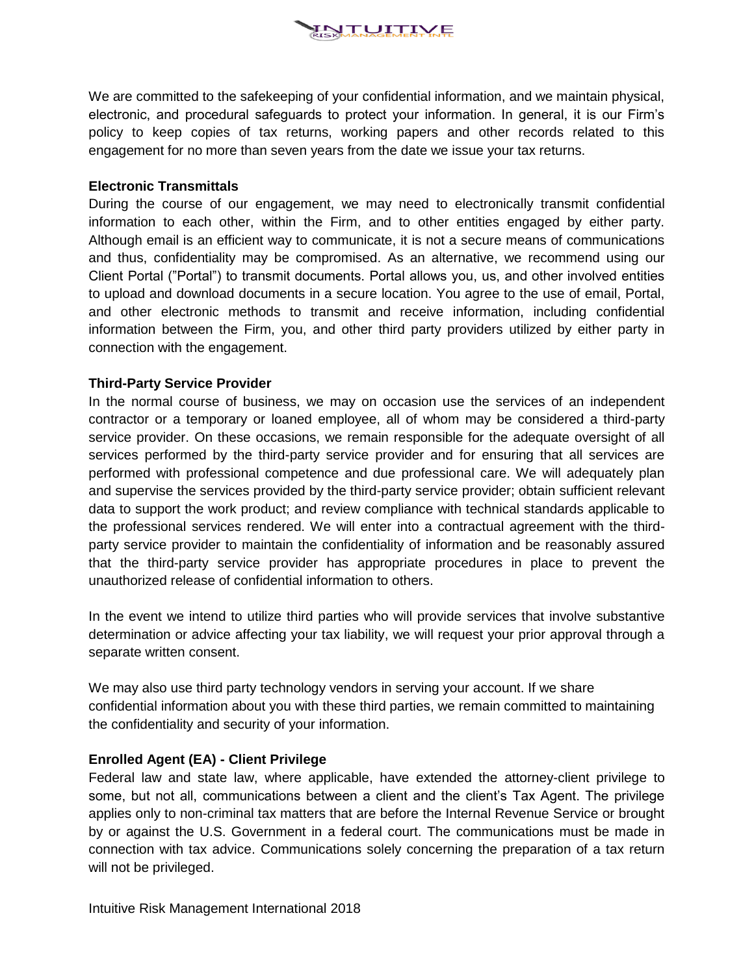

We are committed to the safekeeping of your confidential information, and we maintain physical, electronic, and procedural safeguards to protect your information. In general, it is our Firm's policy to keep copies of tax returns, working papers and other records related to this engagement for no more than seven years from the date we issue your tax returns.

### **Electronic Transmittals**

During the course of our engagement, we may need to electronically transmit confidential information to each other, within the Firm, and to other entities engaged by either party. Although email is an efficient way to communicate, it is not a secure means of communications and thus, confidentiality may be compromised. As an alternative, we recommend using our Client Portal ("Portal") to transmit documents. Portal allows you, us, and other involved entities to upload and download documents in a secure location. You agree to the use of email, Portal, and other electronic methods to transmit and receive information, including confidential information between the Firm, you, and other third party providers utilized by either party in connection with the engagement.

# **Third-Party Service Provider**

In the normal course of business, we may on occasion use the services of an independent contractor or a temporary or loaned employee, all of whom may be considered a third-party service provider. On these occasions, we remain responsible for the adequate oversight of all services performed by the third-party service provider and for ensuring that all services are performed with professional competence and due professional care. We will adequately plan and supervise the services provided by the third-party service provider; obtain sufficient relevant data to support the work product; and review compliance with technical standards applicable to the professional services rendered. We will enter into a contractual agreement with the thirdparty service provider to maintain the confidentiality of information and be reasonably assured that the third-party service provider has appropriate procedures in place to prevent the unauthorized release of confidential information to others.

In the event we intend to utilize third parties who will provide services that involve substantive determination or advice affecting your tax liability, we will request your prior approval through a separate written consent.

We may also use third party technology vendors in serving your account. If we share confidential information about you with these third parties, we remain committed to maintaining the confidentiality and security of your information.

# **Enrolled Agent (EA) - Client Privilege**

Federal law and state law, where applicable, have extended the attorney-client privilege to some, but not all, communications between a client and the client's Tax Agent. The privilege applies only to non-criminal tax matters that are before the Internal Revenue Service or brought by or against the U.S. Government in a federal court. The communications must be made in connection with tax advice. Communications solely concerning the preparation of a tax return will not be privileged.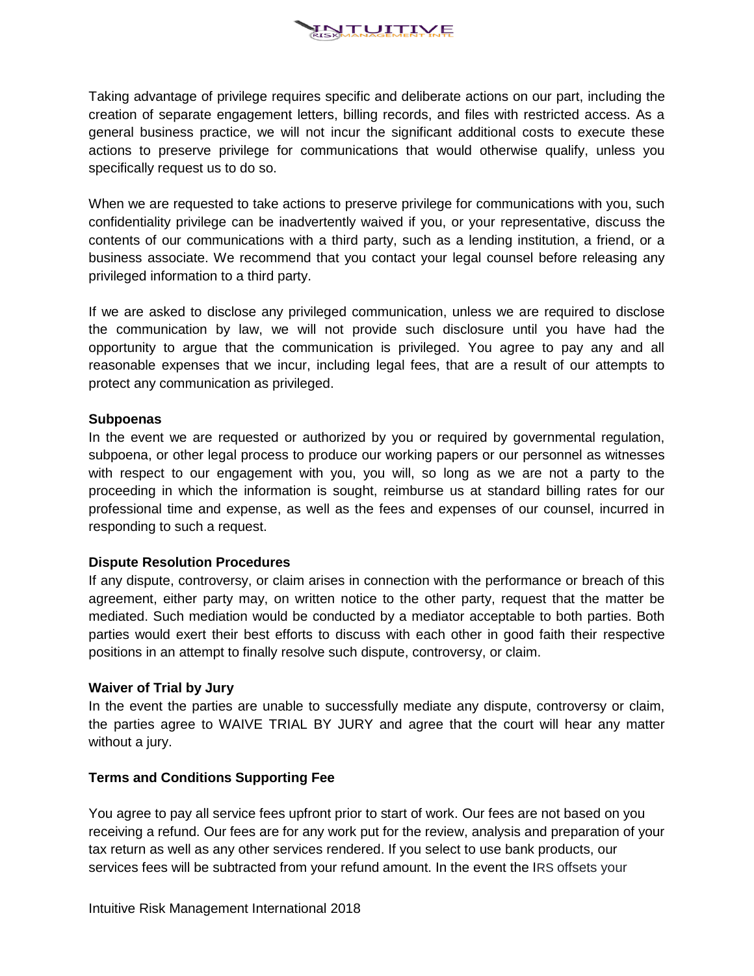

Taking advantage of privilege requires specific and deliberate actions on our part, including the creation of separate engagement letters, billing records, and files with restricted access. As a general business practice, we will not incur the significant additional costs to execute these actions to preserve privilege for communications that would otherwise qualify, unless you specifically request us to do so.

When we are requested to take actions to preserve privilege for communications with you, such confidentiality privilege can be inadvertently waived if you, or your representative, discuss the contents of our communications with a third party, such as a lending institution, a friend, or a business associate. We recommend that you contact your legal counsel before releasing any privileged information to a third party.

If we are asked to disclose any privileged communication, unless we are required to disclose the communication by law, we will not provide such disclosure until you have had the opportunity to argue that the communication is privileged. You agree to pay any and all reasonable expenses that we incur, including legal fees, that are a result of our attempts to protect any communication as privileged.

#### **Subpoenas**

In the event we are requested or authorized by you or required by governmental regulation, subpoena, or other legal process to produce our working papers or our personnel as witnesses with respect to our engagement with you, you will, so long as we are not a party to the proceeding in which the information is sought, reimburse us at standard billing rates for our professional time and expense, as well as the fees and expenses of our counsel, incurred in responding to such a request.

#### **Dispute Resolution Procedures**

If any dispute, controversy, or claim arises in connection with the performance or breach of this agreement, either party may, on written notice to the other party, request that the matter be mediated. Such mediation would be conducted by a mediator acceptable to both parties. Both parties would exert their best efforts to discuss with each other in good faith their respective positions in an attempt to finally resolve such dispute, controversy, or claim.

#### **Waiver of Trial by Jury**

In the event the parties are unable to successfully mediate any dispute, controversy or claim, the parties agree to WAIVE TRIAL BY JURY and agree that the court will hear any matter without a jury.

#### **Terms and Conditions Supporting Fee**

You agree to pay all service fees upfront prior to start of work. Our fees are not based on you receiving a refund. Our fees are for any work put for the review, analysis and preparation of your tax return as well as any other services rendered. If you select to use bank products, our services fees will be subtracted from your refund amount. In the event the IRS offsets your